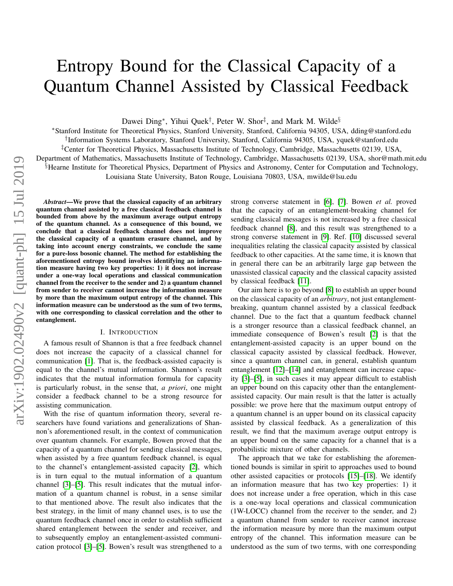# Entropy Bound for the Classical Capacity of a Quantum Channel Assisted by Classical Feedback

Dawei Ding<sup>∗</sup>, Yihui Quek<sup>†</sup>, Peter W. Shor<sup>‡</sup>, and Mark M. Wilde<sup>§</sup>

<sup>∗</sup>Stanford Institute for Theoretical Physics, Stanford University, Stanford, California 94305, USA, dding@stanford.edu † Information Systems Laboratory, Stanford University, Stanford, California 94305, USA, yquek@stanford.edu ‡Center for Theoretical Physics, Massachusetts Institute of Technology, Cambridge, Massachusetts 02139, USA, Department of Mathematics, Massachusetts Institute of Technology, Cambridge, Massachusetts 02139, USA, shor@math.mit.edu §Hearne Institute for Theoretical Physics, Department of Physics and Astronomy, Center for Computation and Technology, Louisiana State University, Baton Rouge, Louisiana 70803, USA, mwilde@lsu.edu

*Abstract*—We prove that the classical capacity of an arbitrary quantum channel assisted by a free classical feedback channel is bounded from above by the maximum average output entropy of the quantum channel. As a consequence of this bound, we conclude that a classical feedback channel does not improve the classical capacity of a quantum erasure channel, and by taking into account energy constraints, we conclude the same for a pure-loss bosonic channel. The method for establishing the aforementioned entropy bound involves identifying an information measure having two key properties: 1) it does not increase under a one-way local operations and classical communication channel from the receiver to the sender and 2) a quantum channel from sender to receiver cannot increase the information measure by more than the maximum output entropy of the channel. This information measure can be understood as the sum of two terms, with one corresponding to classical correlation and the other to entanglement.

#### I. INTRODUCTION

A famous result of Shannon is that a free feedback channel does not increase the capacity of a classical channel for communication [\[1\]](#page-4-0). That is, the feedback-assisted capacity is equal to the channel's mutual information. Shannon's result indicates that the mutual information formula for capacity is particularly robust, in the sense that, *a priori*, one might consider a feedback channel to be a strong resource for assisting communication.

With the rise of quantum information theory, several researchers have found variations and generalizations of Shannon's aforementioned result, in the context of communication over quantum channels. For example, Bowen proved that the capacity of a quantum channel for sending classical messages, when assisted by a free quantum feedback channel, is equal to the channel's entanglement-assisted capacity [\[2\]](#page-4-1), which is in turn equal to the mutual information of a quantum channel [\[3\]](#page-4-2)–[\[5\]](#page-4-3). This result indicates that the mutual information of a quantum channel is robust, in a sense similar to that mentioned above. The result also indicates that the best strategy, in the limit of many channel uses, is to use the quantum feedback channel once in order to establish sufficient shared entanglement between the sender and receiver, and to subsequently employ an entanglement-assisted communication protocol [\[3\]](#page-4-2)–[\[5\]](#page-4-3). Bowen's result was strengthened to a strong converse statement in [\[6\]](#page-4-4), [\[7\]](#page-4-5). Bowen *et al.* proved that the capacity of an entanglement-breaking channel for sending classical messages is not increased by a free classical feedback channel [\[8\]](#page-4-6), and this result was strengthened to a strong converse statement in [\[9\]](#page-4-7). Ref. [\[10\]](#page-4-8) discussed several inequalities relating the classical capacity assisted by classical feedback to other capacities. At the same time, it is known that in general there can be an arbitrarily large gap between the unassisted classical capacity and the classical capacity assisted by classical feedback [\[11\]](#page-4-9).

Our aim here is to go beyond [\[8\]](#page-4-6) to establish an upper bound on the classical capacity of an *arbitrary*, not just entanglementbreaking, quantum channel assisted by a classical feedback channel. Due to the fact that a quantum feedback channel is a stronger resource than a classical feedback channel, an immediate consequence of Bowen's result [\[2\]](#page-4-1) is that the entanglement-assisted capacity is an upper bound on the classical capacity assisted by classical feedback. However, since a quantum channel can, in general, establish quantum entanglement [\[12\]](#page-4-10)–[\[14\]](#page-4-11) and entanglement can increase capacity [\[3\]](#page-4-2)–[\[5\]](#page-4-3), in such cases it may appear difficult to establish an upper bound on this capacity other than the entanglementassisted capacity. Our main result is that the latter is actually possible: we prove here that the maximum output entropy of a quantum channel is an upper bound on its classical capacity assisted by classical feedback. As a generalization of this result, we find that the maximum average output entropy is an upper bound on the same capacity for a channel that is a probabilistic mixture of other channels.

The approach that we take for establishing the aforementioned bounds is similar in spirit to approaches used to bound other assisted capacities or protocols [\[15\]](#page-4-12)–[\[18\]](#page-4-13). We identify an information measure that has two key properties: 1) it does not increase under a free operation, which in this case is a one-way local operations and classical communication (1W-LOCC) channel from the receiver to the sender, and 2) a quantum channel from sender to receiver cannot increase the information measure by more than the maximum output entropy of the channel. This information measure can be understood as the sum of two terms, with one corresponding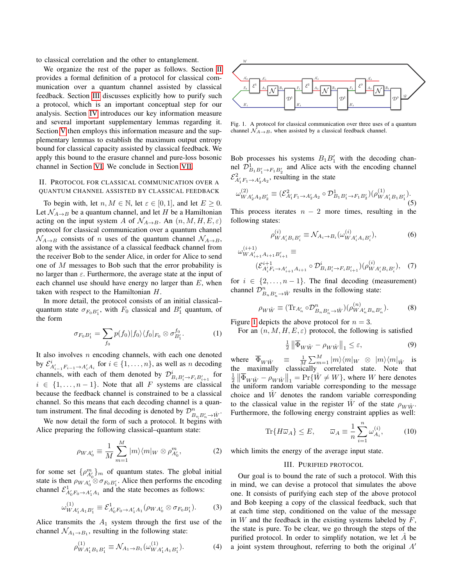to classical correlation and the other to entanglement.

We organize the rest of the paper as follows. Section [II](#page-1-0) provides a formal definition of a protocol for classical communication over a quantum channel assisted by classical feedback. Section [III](#page-1-1) discusses explicitly how to purify such a protocol, which is an important conceptual step for our analysis. Section [IV](#page-2-0) introduces our key information measure and several important supplementary lemmas regarding it. Section [V](#page-3-0) then employs this information measure and the supplementary lemmas to establish the maximum output entropy bound for classical capacity assisted by classical feedback. We apply this bound to the erasure channel and pure-loss bosonic channel in Section [VI.](#page-4-14) We conclude in Section [VII.](#page-4-15)

## <span id="page-1-0"></span>II. PROTOCOL FOR CLASSICAL COMMUNICATION OVER A QUANTUM CHANNEL ASSISTED BY CLASSICAL FEEDBACK

To begin with, let  $n, M \in \mathbb{N}$ , let  $\varepsilon \in [0, 1]$ , and let  $E \ge 0$ . Let  $\mathcal{N}_{A\rightarrow B}$  be a quantum channel, and let H be a Hamiltonian acting on the input system A of  $\mathcal{N}_{A\rightarrow B}$ . An  $(n, M, H, E, \varepsilon)$ protocol for classical communication over a quantum channel  $\mathcal{N}_{A\rightarrow B}$  consists of n uses of the quantum channel  $\mathcal{N}_{A\rightarrow B}$ , along with the assistance of a classical feedback channel from the receiver Bob to the sender Alice, in order for Alice to send one of M messages to Bob such that the error probability is no larger than  $\varepsilon$ . Furthermore, the average state at the input of each channel use should have energy no larger than  $E$ , when taken with respect to the Hamiltonian H.

In more detail, the protocol consists of an initial classical– quantum state  $\sigma_{F_0 B_1}$ , with  $F_0$  classical and  $B_1$  quantum, of the form

$$
\sigma_{F_0 B_1'} = \sum_{f_0} p(f_0) |f_0\rangle \langle f_0|_{F_0} \otimes \sigma_{B_1'}^{f_0}.
$$
 (1)

It also involves  $n$  encoding channels, with each one denoted by  $\mathcal{E}_{A'_{i-1}F_{i-1}\to A'_{i}A_{i}}^{i}$  for  $i \in \{1,\ldots,n\}$ , as well as *n* decoding channels, with each of them denoted by  $\mathcal{D}_{B_i B_i' \to F_i B_{i+1}'}^i$  for  $i \in \{1, \ldots, n-1\}$ . Note that all F systems are classical because the feedback channel is constrained to be a classical channel. So this means that each decoding channel is a quantum instrument. The final decoding is denoted by  $\mathcal{D}_{B_n B'_n \to \hat{W}}^n$ .

We now detail the form of such a protocol. It begins with Alice preparing the following classical–quantum state:

$$
\rho_{WA'_0} \equiv \frac{1}{M} \sum_{m=1}^{M} |m\rangle\langle m|_W \otimes \rho_{A'_0}^m,\tag{2}
$$

for some set  $\{\rho_{A_0'}^m\}_{m}$  of quantum states. The global initial state is then  $\rho_{WA'_0} \otimes \sigma_{F_0B'_1}$ . Alice then performs the encoding channel  $\mathcal{E}^1_{A_0'F_0 \to A_1'A_1}$  and the state becomes as follows:

$$
\omega_{WA'_1A_1B'_1}^{(1)} \equiv \mathcal{E}_{A'_0F_0 \to A'_1A_1}^{1} (\rho_{WA'_0} \otimes \sigma_{F_0B'_1}). \tag{3}
$$

Alice transmits the  $A_1$  system through the first use of the channel  $\mathcal{N}_{A_1 \to B_1}$ , resulting in the following state:

$$
\rho_{WA'_1B_1B'_1}^{(1)} \equiv \mathcal{N}_{A_1 \to B_1}(\omega_{WA'_1A_1B'_1}^{(1)}).
$$
 (4)



<span id="page-1-2"></span>Fig. 1. A protocol for classical communication over three uses of a quantum channel  $\mathcal{N}_{A\rightarrow B}$ , when assisted by a classical feedback channel.

Bob processes his systems  $B_1B_1'$  with the decoding channel  $\mathcal{D}_{B_1B_1'\rightarrow F_1B_2'}^1$  and Alice acts with the encoding channel  $\mathcal{E}_{A'_1F_1\rightarrow A'_2A_2}^2$ , resulting in the state

$$
\omega_{WA'_2A_2B'_2}^{(2)} \equiv (\mathcal{E}_{A'_1F_1 \to A'_2A_2}^2 \circ \mathcal{D}_{B_1B'_1 \to F_1B'_2}^1)(\rho_{WA'_1B_1B'_1}^{(1)}).
$$
(5)

This process iterates  $n - 2$  more times, resulting in the following states:

$$
\rho_{WA'_iB_iB'_i}^{(i)} \equiv \mathcal{N}_{A_i \to B_i}(\omega_{WA'_iA_iB'_i}^{(i)}),\tag{6}
$$

$$
\omega_{WA'_{i+1}A_{i+1}B'_{i+1}}^{(i+1)} \equiv\n\qquad\n(\mathcal{E}_{A'_{i}F_{i}\to A'_{i+1}A_{i+1}}^{i+1} \circ \mathcal{D}_{B_{i}B'_{i}\to F_{i}B'_{i+1}}^{i}) (\rho_{WA'_{i}B_{i}B'_{i}}^{(i)}), \quad (7)
$$

for  $i \in \{2, ..., n-1\}$ . The final decoding (measurement) channel  $\mathcal{D}_{B_n B'_n \to \hat{W}}^n$  results in the following state:

$$
\rho_{W\hat{W}} \equiv (\text{Tr}_{A'_n} \circ \mathcal{D}_{B_n B'_n \to \hat{W}}^n) (\rho_{WA'_n B_n B'_n}^{(n)}).
$$
 (8)

Figure [1](#page-1-2) depicts the above protocol for  $n = 3$ .

For an  $(n, M, H, E, \varepsilon)$  protocol, the following is satisfied

<span id="page-1-3"></span>
$$
\frac{1}{2} \left\| \overline{\Phi}_{W\hat{W}} - \rho_{W\hat{W}} \right\|_{1} \le \varepsilon, \tag{9}
$$

where  $\overline{\Phi}_{W\hat{W}} \equiv \frac{1}{M} \sum_{m=1}^{M} |m\rangle \langle m|_{W} \otimes |m\rangle \langle m|_{\hat{W}}$  is the maximally classically correlated state. Note that  $\frac{1}{2} \left\| \overline{\Phi}_{W\hat{W}} - \rho_{W\hat{W}} \right\|_1 = \Pr{\hat{W} \neq W}$ , where W here denotes the uniform random variable corresponding to the message choice and  $\hat{W}$  denotes the random variable corresponding to the classical value in the register  $\hat{W}$  of the state  $\rho_{W\hat{W}}$ . Furthermore, the following energy constraint applies as well:

<span id="page-1-4"></span>
$$
\text{Tr}\{H\overline{\omega}_A\} \le E, \qquad \overline{\omega}_A \equiv \frac{1}{n} \sum_{i=1}^n \omega_{A_i}^{(i)}, \tag{10}
$$

<span id="page-1-1"></span>which limits the energy of the average input state.

### III. PURIFIED PROTOCOL

Our goal is to bound the rate of such a protocol. With this in mind, we can devise a protocol that simulates the above one. It consists of purifying each step of the above protocol and Bob keeping a copy of the classical feedback, such that at each time step, conditioned on the value of the message in  $W$  and the feedback in the existing systems labeled by  $F$ , the state is pure. To be clear, we go through the steps of the purified protocol. In order to simplify notation, we let  $\hat{A}$  be a joint system throughout, referring to both the original  $A<sup>'</sup>$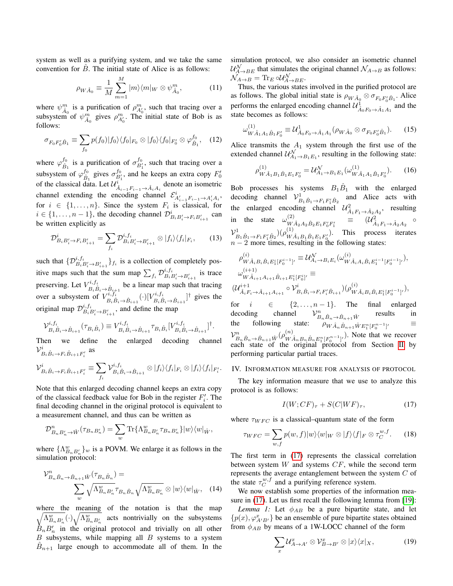system as well as a purifying system, and we take the same convention for  $\hat{B}$ . The initial state of Alice is as follows:

$$
\rho_{W\hat{A}_0} \equiv \frac{1}{M} \sum_{m=1}^{M} |m\rangle\langle m|_W \otimes \psi_{\hat{A}_0}^m,\tag{11}
$$

where  $\psi_{\hat{A}_0}^m$  is a purification of  $\rho_{A'_0}^m$ , such that tracing over a subsystem of  $\psi_{\hat{A}_0}^m$  gives  $\rho_{A_0'}^m$ . The initial state of Bob is as follows:

$$
\sigma_{F_0 F'_0 \hat{B}_1} \equiv \sum_{f_0} p(f_0) |f_0\rangle \langle f_0|_{F_0} \otimes |f_0\rangle \langle f_0|_{F'_0} \otimes \varphi_{\hat{B}_1}^{f_0}, \quad (12)
$$

where  $\varphi_{\hat{B}_1}^{f_0}$  is a purification of  $\sigma_{B'_1}^{f_0}$ , such that tracing over a subsystem of  $\varphi_{\hat{B}_1}^{f_0}$  gives  $\sigma_{B_1}^{f_0}$ , and he keeps an extra copy  $F'_0$ of the classical data. Let  $\mathcal{U}_{\hat{A}_{i-1}F_{i-1}\rightarrow \hat{A}_iA_i}^i$  denote an isometric channel extending the encoding channel  $\mathcal{E}_{A_{i-1}^i F_{i-1} \to A_i^i A_i}^i$ , for  $i \in \{1, \ldots, n\}$ . Since the system  $F_i$  is classical, for  $i \in \{1, \ldots, n-1\}$ , the decoding channel  $\mathcal{D}_{B_i B_i' \to F_i B_{i+1}'}^i$  can be written explicitly as

$$
\mathcal{D}_{B_i B_i' \to F_i B_{i+1}'}^i = \sum_{f_i} \mathcal{D}_{B_i B_i' \to B_{i+1}'}^{i, f_i} \otimes |f_i\rangle\langle f_i|_{F_i}, \qquad (13)
$$

such that  $\{D_{B_iB_i'\rightarrow B_{i+1}'}^{i,f_i}\}_{f_i}$  is a collection of completely positive maps such that the sum map  $\sum_{f_i} \mathcal{D}_{B_i}^{i,f_i} B_{i}^{\prime} \rightarrow B_{i+1}^{\prime}$  is trace preserving. Let  $V^{i, f_i}_{B_i \hat{B}_i \to \hat{B}_{i+1}}$  be a linear map such that tracing over a subsystem of  $V^{i, f_i}_{B_i \hat{B}_i \to \hat{B}_{i+1}}(\cdot) [V^{i, f_i}_{B_i \hat{B}_i \to \hat{B}_{i+1}}]^{\dagger}$  gives the original map  $\mathcal{D}_{B_i B_i' \to B_{i+1}'}^{i, f_i}$ , and define the map

$$
\mathcal{V}_{B_{i}\hat{B}_{i}\to\hat{B}_{i+1}}^{i,f_{i}}(\tau_{B_{i}\hat{B}_{i}}) \equiv V_{B_{i}\hat{B}_{i}\to\hat{B}_{i+1}}^{i,f_{i}}\tau_{B_{i}\hat{B}_{i}}[V_{B_{i}\hat{B}_{i}\to\hat{B}_{i+1}}^{i,f_{i}}]^{†}.
$$

Then we define the enlarged decoding channel  ${{\cal V}^i_{B_i \hat B_i \rightarrow F_i \hat B_{i+1} F'_i}}$  as

$$
\mathcal{V}_{B_i\hat{B}_i\rightarrow F_i\hat{B}_{i+1}F'_i}^i \equiv \sum_{f_i} \mathcal{V}_{B_i\hat{B}_i\rightarrow \hat{B}_{i+1}}^{i,f_i} \otimes |f_i\rangle\langle f_i|_{F_i} \otimes |f_i\rangle\langle f_i|_{F'_i}.
$$

Note that this enlarged decoding channel keeps an extra copy of the classical feedback value for Bob in the register  $F_i'$ . The final decoding channel in the original protocol is equivalent to a measurement channel, and thus can be written as

$$
\mathcal{D}_{B_n B'_n \to \hat{W}}^n(\tau_{B_n B'_n}) = \sum_w \text{Tr}\{\Lambda_{B_n B'_n}^w \tau_{B_n B'_n}\} |w\rangle\langle w|_{\hat{W}},
$$

where  $\{\Lambda_{B_nB_n'}^w\}_w$  is a POVM. We enlarge it as follows in the simulation protocol:

$$
\mathcal{V}_{B_n\hat{B}_n \to \hat{B}_{n+1}\hat{W}}^n(\tau_{B_n\hat{B}_n}) = \sum_{w} \sqrt{\Lambda_{B_nB'_n}^w \tau_{B_n\hat{B}_n} \sqrt{\Lambda_{B_nB'_n}^w}} \otimes |w\rangle\langle w|_{\hat{W}}, \quad (14)
$$

where the meaning of the notation is that the map  $\sqrt{\Lambda_{B_n B'_n}^w}(\cdot) \sqrt{\Lambda_{B_n B'_n}^w}$  acts nontrivially on the subsystems  $\dot{B}_n B'_n$  in the original protocol and trivially on all other  $B$  subsystems, while mapping all  $B$  systems to a system  $\hat{B}_{n+1}$  large enough to accommodate all of them. In the simulation protocol, we also consider an isometric channel  $\mathcal{U}_{A\rightarrow BE}^{\mathcal{N}}$  that simulates the original channel  $\mathcal{N}_{A\rightarrow B}$  as follows:  $\mathcal{N}_{A\rightarrow B}=\text{Tr}_{E}\circ\mathcal{U}_{A\rightarrow BE}^{\mathcal{N}}.$ 

Thus, the various states involved in the purified protocol are as follows. The global initial state is  $\rho_{W \hat{A}_0} \otimes \sigma_{F_0 F_0' \hat{B}_1}$ . Alice performs the enlarged encoding channel  $\mathcal{U}^1_{\hat{A}_0 F_0 \to \hat{A}_1 A_1}$  and the state becomes as follows:

$$
\omega_{W\hat{A}_1 A_1 \hat{B}_1 F'_0}^{(1)} \equiv \mathcal{U}_{\hat{A}_0 F_0 \to \hat{A}_1 A_1}^1 (\rho_{W\hat{A}_0} \otimes \sigma_{F_0 F'_0 \hat{B}_1}).
$$
 (15)

Alice transmits the  $A_1$  system through the first use of the extended channel  $\mathcal{U}_{A_1 \to B_1 E_1}^{\mathcal{N}}$ , resulting in the following state:

$$
\rho_{W\hat{A}_1B_1\hat{B}_1E_1F'_0}^{(1)} = \mathcal{U}_{A_1 \to B_1E_1}^{\mathcal{N}}(\omega_{W\hat{A}_1A_1\hat{B}_1F'_0}^{(1)}).
$$
 (16)

Bob processes his systems  $B_1\hat{B}_1$  with the enlarged decoding channel  $V_{B_1\hat{B}_1\rightarrow F_1F_1'\hat{B}_2}^1$  and Alice acts with the enlarged encoding channel  $\mathcal{U}_{\hat{A}_1 F_1 \to \hat{A}_2 A_2}^2$ , resulting in the state  $\omega_{W}^{(2)}$  $(\mathcal{U}^2)_{W \hat{A}_2 A_2 \hat{B}_2 E_1 F_0' F_1'} \quad \equiv \quad (\mathcal{U}^2_{\hat{A}_1 F_1 \to \hat{A}_2 A_2} \circ$  ${\cal V}_{B_1 \hat{B}_1 \to F_1 F_1' \hat{B}_2}^1) (\rho^{(1)}_{W_A})$  $(W\hat{A}_1B_1\hat{B}_1E_1F_0')$ . This process iterates  $n - 2$  more times, resulting in the following states:

$$
\rho_{W\hat{A}_{i}B_{i}\hat{B}_{i}E_{1}^{i}[F_{0}^{i-1}]'}^{(i)} \equiv \mathcal{U}_{A_{i}\rightarrow B_{i}E_{i}}^{N}(\omega_{W\hat{A}_{i}A_{i}\hat{B}_{i}E_{1}^{i-1}[F_{0}^{i-1}]'}^{(i)}),
$$
  
\n
$$
\omega_{W\hat{A}_{i+1}A_{i+1}\hat{B}_{i+1}E_{1}^{i}[F_{0}^{i}]'}^{(i)} \equiv
$$
  
\n
$$
(\mathcal{U}_{\hat{A}_{i}F_{i}\rightarrow\hat{A}_{i+1}A_{i+1}}^{i+1} \circ \mathcal{V}_{B_{i}\hat{B}_{i}\rightarrow F_{i}F_{i}'}^{i} \hat{B}_{i+1}}^{i})
$$
  
\n
$$
(\mathcal{U}_{\hat{A}_{i}F_{i}\rightarrow\hat{A}_{i+1}A_{i+1}}^{i+1} \circ \mathcal{V}_{B_{i}\hat{B}_{i}\rightarrow F_{i}F_{i}'}^{i} \hat{B}_{i+1}}^{i})
$$

for  $i \in \{2, ..., n-1\}$ . The final enlarged decoding channel  $V_{B_n\hat{B}_n\to\hat{B}_{n+1}\hat{W}}^n$ results in the following state:  $\rho_{W \hat{A}_n \hat{B}_{n+1} \hat{W} E_1^n [F_0^{n-1}]}$ <sup>0</sup> ≡  ${\mathcal V}_{B_n\hat{B}_n\rightarrow \hat{B}_{n+1}\hat{W}}^n(\rho_{W\lambda}^{(n)})$  $(W\hat{A}_n B_n \hat{B}_n E_1^n [F_0^{n-1}]$ . Note that we recover each state of the original protocol from Section [II](#page-1-0) by performing particular partial traces.

#### <span id="page-2-0"></span>IV. INFORMATION MEASURE FOR ANALYSIS OF PROTOCOL

The key information measure that we use to analyze this protocol is as follows:

<span id="page-2-1"></span>
$$
I(W;CF)_{\tau} + S(C|WF)_{\tau},\tag{17}
$$

where  $\tau_{WFC}$  is a classical–quantum state of the form

$$
\tau_{WFC} = \sum_{w,f} p(w,f)|w\rangle\langle w|_W \otimes |f\rangle\langle f|_F \otimes \tau_C^{w,f}.
$$
 (18)

The first term in [\(17\)](#page-2-1) represents the classical correlation between system  $W$  and systems  $CF$ , while the second term represents the average entanglement between the system C of the state  $\tau_C^{w,f}$  and a purifying reference system.

We now establish some properties of the information measure in [\(17\)](#page-2-1). Let us first recall the following lemma from [\[19\]](#page-4-16):

<span id="page-2-3"></span>*Lemma 1:* Let  $\phi_{AB}$  be a pure bipartite state, and let  $\{p(x),\varphi_{A'B'}^{x}\}$  be an ensemble of pure bipartite states obtained from  $\phi_{AB}$  by means of a 1W-LOCC channel of the form

<span id="page-2-2"></span>
$$
\sum_{x} \mathcal{U}_{A \to A'}^{x} \otimes \mathcal{V}_{B \to B'}^{x} \otimes |x\rangle\langle x|_{X}, \tag{19}
$$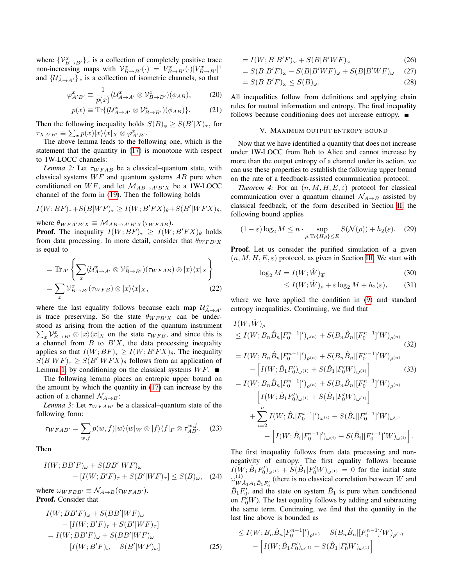where  $\{V_{B\to B'}^x\}_x$  is a collection of completely positive trace non-increasing maps with  $V_{B\to B'}^x(\cdot) = V_{B\to B'}^x(\cdot) [V_{B\to B'}^x]^{\dagger}$ and  $\{\mathcal{U}_{A\to A'}^x\}_x$  is a collection of isometric channels, so that

$$
\varphi_{A'B'}^x \equiv \frac{1}{p(x)} (\mathcal{U}_{A \to A'}^x \otimes \mathcal{V}_{B \to B'}^x)(\phi_{AB}),\tag{20}
$$

$$
p(x) \equiv \text{Tr}\{(\mathcal{U}_{A \to A'}^x \otimes \mathcal{V}_{B \to B'}^x)(\phi_{AB})\}.
$$
 (21)

Then the following inequality holds  $S(B)_{\phi} \geq S(B'|X)_{\tau}$ , for  $\tau_{XA'B'} \equiv \sum_x p(x)|x\rangle\langle x|_X \otimes \varphi_{A'B'}^x.$ 

The above lemma leads to the following one, which is the statement that the quantity in [\(17\)](#page-2-1) is monotone with respect to 1W-LOCC channels:

<span id="page-3-1"></span>*Lemma 2:* Let  $\tau_{WFAB}$  be a classical–quantum state, with classical systems  $WF$  and quantum systems  $AB$  pure when conditioned on  $WF$ , and let  $\mathcal{M}_{AB\rightarrow A'B'X}$  be a 1W-LOCC channel of the form in [\(19\)](#page-2-2). Then the following holds

$$
I(W;BF)_{\tau}+S(B|WF)_{\tau} \ge I(W;B'FX)_{\theta}+S(B'|WFX)_{\theta},
$$

where  $\theta_{WFA'B'X} \equiv \mathcal{M}_{AB \to A'B'X}(\tau_{WFAB}).$ 

**Proof.** The inequality  $I(W; BF)_{\tau} \geq I(W; B'FX)_{\theta}$  holds from data processing. In more detail, consider that  $\theta_{WFB'X}$ is equal to

$$
= \text{Tr}_{A'} \left\{ \sum_{x} (\mathcal{U}_{A \to A'}^{x} \otimes \mathcal{V}_{B \to B'}^{x}) (\tau_{WFAB}) \otimes |x\rangle \langle x|_{X} \right\}
$$

$$
= \sum_{x} \mathcal{V}_{B \to B'}^{x} (\tau_{WFB}) \otimes |x\rangle \langle x|_{X}, \qquad (22)
$$

where the last equality follows because each map  $\mathcal{U}_{A\rightarrow A}^{x}$ is trace preserving. So the state  $\theta_{WFB'X}$  can be understood as arising from the action of the quantum instrument  $\sum_{x} V_{B\to B'}^x \otimes |x\rangle\langle x|_X$  on the state  $\tau_{WFB}$ , and since this is a channel from  $B$  to  $B'X$ , the data processing inequality applies so that  $I(W; BF)_{\tau} \ge I(W; B'FX)_{\theta}$ . The inequality  $S(B|WF)_{\tau} \geq S(B'|WFX)_{\theta}$  follows from an application of Lemma [1,](#page-2-3) by conditioning on the classical systems  $WF$ .

The following lemma places an entropic upper bound on the amount by which the quantity in [\(17\)](#page-2-1) can increase by the action of a channel  $\mathcal{N}_{A\rightarrow B}$ :

<span id="page-3-2"></span>*Lemma 3:* Let  $\tau_{WFAB'}$  be a classical–quantum state of the following form:

$$
\tau_{WFAB'} = \sum_{w,f} p(w,f)|w\rangle\langle w|_W \otimes |f\rangle\langle f|_F \otimes \tau_{AB'}^{w,f}.\tag{23}
$$

Then

$$
I(W; BB'F)_{\omega} + S(BB'|WF)_{\omega}
$$
  
- 
$$
[I(W; B'F)_{\tau} + S(B'|WF)_{\tau}] \leq S(B)_{\omega}, \quad (24)
$$

where  $\omega_{WFBB'} \equiv \mathcal{N}_{A\rightarrow B}(\tau_{WFAB'})$ . Proof. Consider that

$$
I(W; BB'F)_{\omega} + S(BB'|WF)_{\omega}
$$
  
\n
$$
- [I(W; B'F)_{\tau} + S(B'|WF)_{\tau}]
$$
  
\n
$$
= I(W; BB'F)_{\omega} + S(BB'|WF)_{\omega}
$$
  
\n
$$
- [I(W; B'F)_{\omega} + S(B'|WF)_{\omega}]
$$
\n(25)

$$
= I(W; B|B'F)_{\omega} + S(B|B'WF)_{\omega}
$$
\n(26)

$$
=S(B|B'F)_{\omega}-S(B|B'WF)_{\omega}+S(B|B'WF)_{\omega} \quad (27)
$$

$$
= S(B|B'F)_{\omega} \le S(B)_{\omega}.
$$
\n(28)

All inequalities follow from definitions and applying chain rules for mutual information and entropy. The final inequality follows because conditioning does not increase entropy.  $\blacksquare$ 

#### V. MAXIMUM OUTPUT ENTROPY BOUND

<span id="page-3-0"></span>Now that we have identified a quantity that does not increase under 1W-LOCC from Bob to Alice and cannot increase by more than the output entropy of a channel under its action, we can use these properties to establish the following upper bound on the rate of a feedback-assisted communication protocol:

<span id="page-3-7"></span>*Theorem 4:* For an  $(n, M, H, E, \varepsilon)$  protocol for classical communication over a quantum channel  $\mathcal{N}_{A\rightarrow B}$  assisted by classical feedback, of the form described in Section [II,](#page-1-0) the following bound applies

<span id="page-3-6"></span>
$$
(1 - \varepsilon) \log_2 M \le n \cdot \sup_{\rho: \text{Tr}\{H\rho\} \le E} S(\mathcal{N}(\rho)) + h_2(\varepsilon). \quad (29)
$$

**Proof.** Let us consider the purified simulation of a given  $(n, M, H, E, \varepsilon)$  protocol, as given in Section [III.](#page-1-1) We start with

$$
\log_2 M = I(W; \hat{W})_{\overline{\Phi}} \tag{30}
$$

<span id="page-3-5"></span><span id="page-3-4"></span><span id="page-3-3"></span>
$$
\leq I(W; \hat{W})_{\rho} + \varepsilon \log_2 M + h_2(\varepsilon), \tag{31}
$$

where we have applied the condition in [\(9\)](#page-1-3) and standard entropy inequalities. Continuing, we find that

$$
I(W; \hat{W})_{\rho}
$$
  
\n
$$
\leq I(W; B_n \hat{B}_n[F_0^{n-1}]')_{\rho^{(n)}} + S(B_n \hat{B}_n|[F_0^{n-1}]'W)_{\rho^{(n)}}
$$
  
\n
$$
= I(W; B_n \hat{B}_n[F_0^{n-1}]')_{\rho^{(n)}} + S(B_n \hat{B}_n|[F_0^{n-1}]'W)_{\rho^{(n)}}
$$
  
\n
$$
- \left[ I(W; \hat{B}_1 F_0')_{\omega^{(1)}} + S(\hat{B}_1|F_0'W)_{\omega^{(1)}} \right] \tag{33}
$$
  
\n
$$
= I(W; B_n \hat{B}_n[F_0^{n-1}]')_{\rho^{(n)}} + S(B_n \hat{B}_n|[F_0^{n-1}]'W)_{\rho^{(n)}}
$$
  
\n
$$
- \left[ I(W; \hat{B}_1 F_0')_{\omega^{(1)}} + S(\hat{B}_1|F_0'W)_{\omega^{(1)}} \right]
$$
  
\n
$$
+ \sum I(W; \hat{B}_n[F_0^{i-1}]')_{\omega^{(i)}} + S(\hat{B}_n|[F_0^{i-1}]'W)_{\omega^{(i)}}
$$

+
$$
\sum_{i=2} I(W; \hat{B}_i[F_0^{i-1}]')_{\omega^{(i)}} + S(\hat{B}_i[[F_0^{i-1}]']W)_{\omega^{(i)}} - \left[ I(W; \hat{B}_i[F_0^{i-1}]')_{\omega^{(i)}} + S(\hat{B}_i[[F_0^{i-1}]']W)_{\omega^{(i)}} \right].
$$

The first inequality follows from data processing and nonnegativity of entropy. The first equality follows because  $I(W; \hat{B}_1 F'_0)_{\omega^{(1)}} + S(\hat{B}_1 | F'_0 W)_{\omega^{(1)}} = 0$  for the initial state  $\omega^{(1)}_{\mathbf{u}\mathbf{v}}$  $W^{\{1\}}_{A_1A_1\hat{B}_1F_0'}$  (there is no classical correlation between W and  $\hat{B}_1 F'_0$ , and the state on system  $\hat{B}_1$  is pure when conditioned on  $F'_0$ W). The last equality follows by adding and subtracting the same term. Continuing, we find that the quantity in the last line above is bounded as

$$
\leq I(W; B_n \hat{B}_n[F_0^{n-1}]')_{\rho^{(n)}} + S(B_n \hat{B}_n[[F_0^{n-1}']'W)_{\rho^{(n)}} - \left[ I(W; \hat{B}_1 F'_0)_{\omega^{(1)}} + S(\hat{B}_1[F'_0W)_{\omega^{(1)}} \right]
$$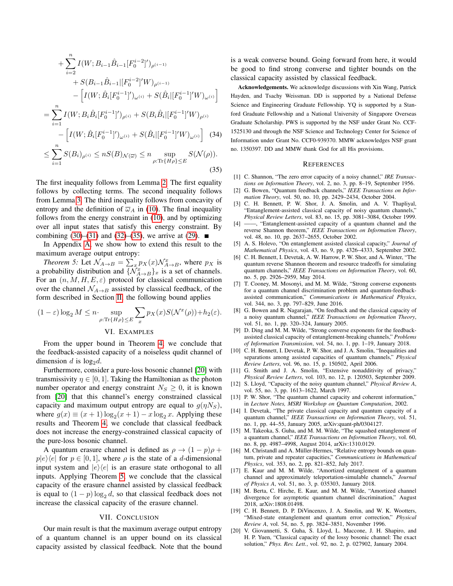$$
+\sum_{i=2}^{n} I(W; B_{i-1}\hat{B}_{i-1}[F_0^{i-2}]')_{\rho^{(i-1)}} \n+ S(B_{i-1}\hat{B}_{i-1}|[F_0^{i-2}]'W)_{\rho^{(i-1)}} \n- [I(W; \hat{B}_i[F_0^{i-1}]')_{\omega^{(i)}} + S(\hat{B}_i|[F_0^{i-1}]'W)_{\omega^{(i)}}] \n= \sum_{i=1}^{n} I(W; B_i\hat{B}_i[F_0^{i-1}]')_{\rho^{(i)}} + S(B_i\hat{B}_i|[F_0^{i-1}]'W)_{\rho^{(i)}} \n- [I(W; \hat{B}_i[F_0^{i-1}]')_{\omega^{(i)}} + S(\hat{B}_i|[F_0^{i-1}]'W)_{\omega^{(i)}}] \quad (34) \n\leq \sum_{i=1}^{n} S(B_i)_{\rho^{(i)}} \leq nS(B)_{\mathcal{N}(\overline{\omega})} \leq n \sup_{\rho:\text{Tr}\{H\rho\} \leq E} S(\mathcal{N}(\rho)).
$$
\n(35)

The first inequality follows from Lemma [2.](#page-3-1) The first equality follows by collecting terms. The second inequality follows from Lemma [3.](#page-3-2) The third inequality follows from concavity of entropy and the definition of  $\overline{\omega}_A$  in [\(10\)](#page-1-4). The final inequality follows from the energy constraint in [\(10\)](#page-1-4), and by optimizing over all input states that satisfy this energy constraint. By combining [\(30\)](#page-3-3)–[\(31\)](#page-3-4) and [\(32\)](#page-3-5)–[\(35\)](#page-4-17), we arrive at [\(29\)](#page-3-6). ■

In Appendix [A,](#page-5-0) we show how to extend this result to the maximum average output entropy:

*Theorem 5:* Let  $\mathcal{N}_{A\to B} = \sum_{x} p_X(x) \mathcal{N}_{A\to B}^x$ , where  $p_X$  is a probability distribution and  $\{\tilde{\mathcal{N}}_{A\to B}^x\}_x$  is a set of channels. For an  $(n, M, H, E, \varepsilon)$  protocol for classical communication over the channel  $\mathcal{N}_{A\rightarrow B}$  assisted by classical feedback, of the form described in Section [II,](#page-1-0) the following bound applies

$$
(1 - \varepsilon) \log_2 M \leq n \cdot \sup_{\rho: \operatorname{Tr}\{H\rho\} \leq E} \sum_{x} p_X(x) S(\mathcal{N}^x(\rho)) + h_2(\varepsilon).
$$

#### <span id="page-4-19"></span>VI. EXAMPLES

<span id="page-4-14"></span>From the upper bound in Theorem [4,](#page-3-7) we conclude that the feedback-assisted capacity of a noiseless qudit channel of dimension d is  $log_2 d$ .

Furthermore, consider a pure-loss bosonic channel [\[20\]](#page-4-18) with transmissivity  $\eta \in [0, 1]$ . Taking the Hamiltonian as the photon number operator and energy constraint  $N_S \geq 0$ , it is known from [\[20\]](#page-4-18) that this channel's energy constrained classical capacity and maximum output entropy are equal to  $g(\eta N_S)$ , where  $g(x) \equiv (x+1) \log_2(x+1) - x \log_2 x$ . Applying these results and Theorem [4,](#page-3-7) we conclude that classical feedback does not increase the energy-constrained classical capacity of the pure-loss bosonic channel.

A quantum erasure channel is defined as  $\rho \rightarrow (1 - p)\rho + p$  $p|e\rangle\langle e|$  for  $p \in [0, 1]$ , where  $\rho$  is the state of a d-dimensional input system and  $|e\rangle\langle e|$  is an erasure state orthogonal to all inputs. Applying Theorem [5,](#page-4-19) we conclude that the classical capacity of the erasure channel assisted by classical feedback is equal to  $(1 - p) \log_2 d$ , so that classical feedback does not increase the classical capacity of the erasure channel.

#### VII. CONCLUSION

<span id="page-4-15"></span>Our main result is that the maximum average output entropy of a quantum channel is an upper bound on its classical capacity assisted by classical feedback. Note that the bound is a weak converse bound. Going forward from here, it would be good to find strong converse and tighter bounds on the classical capacity assisted by classical feedback.

<span id="page-4-20"></span>Acknowledgements. We acknowledge discussions with Xin Wang, Patrick Hayden, and Tsachy Weissman. DD is supported by a National Defense Science and Engineering Graduate Fellowship. YQ is supported by a Stanford Graduate Fellowship and a National University of Singapore Overseas Graduate Scholarship. PWS is supported by the NSF under Grant No. CCF-1525130 and through the NSF Science and Technology Center for Science of Information under Grant No. CCF0-939370. MMW acknowledges NSF grant no. 1350397. DD and MMW thank God for all His provisions.

#### **REFERENCES**

- <span id="page-4-17"></span><span id="page-4-0"></span>[1] C. Shannon, "The zero error capacity of a noisy channel," *IRE Transactions on Information Theory*, vol. 2, no. 3, pp. 8–19, September 1956.
- <span id="page-4-1"></span>[2] G. Bowen, "Quantum feedback channels," *IEEE Transactions on Information Theory*, vol. 50, no. 10, pp. 2429–2434, October 2004.
- <span id="page-4-2"></span>[3] C. H. Bennett, P. W. Shor, J. A. Smolin, and A. V. Thapliyal, "Entanglement-assisted classical capacity of noisy quantum channels," *Physical Review Letters*, vol. 83, no. 15, pp. 3081–3084, October 1999.
- [4] ——, "Entanglement-assisted capacity of a quantum channel and the reverse Shannon theorem," *IEEE Transactions on Information Theory*, vol. 48, no. 10, pp. 2637–2655, October 2002.
- <span id="page-4-3"></span>[5] A. S. Holevo, "On entanglement assisted classical capacity," *Journal of Mathematical Physics*, vol. 43, no. 9, pp. 4326–4333, September 2002.
- <span id="page-4-4"></span>[6] C. H. Bennett, I. Devetak, A. W. Harrow, P. W. Shor, and A. Winter, "The quantum reverse Shannon theorem and resource tradeoffs for simulating quantum channels," *IEEE Transactions on Information Theory*, vol. 60, no. 5, pp. 2926–2959, May 2014.
- <span id="page-4-5"></span>[7] T. Cooney, M. Mosonyi, and M. M. Wilde, "Strong converse exponents for a quantum channel discrimination problem and quantum-feedbackassisted communication," *Communications in Mathematical Physics*, vol. 344, no. 3, pp. 797–829, June 2016.
- <span id="page-4-6"></span>[8] G. Bowen and R. Nagarajan, "On feedback and the classical capacity of a noisy quantum channel," *IEEE Transactions on Information Theory*, vol. 51, no. 1, pp. 320–324, January 2005.
- <span id="page-4-7"></span>[9] D. Ding and M. M. Wilde, "Strong converse exponents for the feedbackassisted classical capacity of entanglement-breaking channels," *Problems of Information Transmission*, vol. 54, no. 1, pp. 1–19, January 2018.
- <span id="page-4-8"></span>[10] C. H. Bennett, I. Devetak, P. W. Shor, and J. A. Smolin, "Inequalities and separations among assisted capacities of quantum channels," *Physical Review Letters*, vol. 96, no. 15, p. 150502, April 2006.
- <span id="page-4-9"></span>[11] G. Smith and J. A. Smolin, "Extensive nonadditivity of privacy," *Physical Review Letters*, vol. 103, no. 12, p. 120503, September 2009.
- <span id="page-4-10"></span>[12] S. Lloyd, "Capacity of the noisy quantum channel," *Physical Review A*, vol. 55, no. 3, pp. 1613–1622, March 1997.
- [13] P. W. Shor, "The quantum channel capacity and coherent information," in *Lecture Notes, MSRI Workshop on Quantum Computation*, 2002.
- <span id="page-4-11"></span>[14] I. Devetak, "The private classical capacity and quantum capacity of a quantum channel," *IEEE Transactions on Information Theory*, vol. 51, no. 1, pp. 44–55, January 2005, arXiv:quant-ph/0304127.
- <span id="page-4-12"></span>[15] M. Takeoka, S. Guha, and M. M. Wilde, "The squashed entanglement of a quantum channel," *IEEE Transactions on Information Theory*, vol. 60, no. 8, pp. 4987–4998, August 2014, arXiv:1310.0129.
- [16] M. Christandl and A. Müller-Hermes, "Relative entropy bounds on quantum, private and repeater capacities," *Communications in Mathematical Physics*, vol. 353, no. 2, pp. 821–852, July 2017.
- [17] E. Kaur and M. M. Wilde, "Amortized entanglement of a quantum channel and approximately teleportation-simulable channels," *Journal of Physics A*, vol. 51, no. 3, p. 035303, January 2018.
- <span id="page-4-13"></span>[18] M. Berta, C. Hirche, E. Kaur, and M. M. Wilde, "Amortized channel divergence for asymptotic quantum channel discrimination," August 2018, arXiv:1808.01498.
- <span id="page-4-16"></span>[19] C. H. Bennett, D. P. DiVincenzo, J. A. Smolin, and W. K. Wootters, "Mixed-state entanglement and quantum error correction," *Physical Review A*, vol. 54, no. 5, pp. 3824–3851, November 1996.
- <span id="page-4-18"></span>[20] V. Giovannetti, S. Guha, S. Lloyd, L. Maccone, J. H. Shapiro, and H. P. Yuen, "Classical capacity of the lossy bosonic channel: The exact solution," *Phys. Rev. Lett.*, vol. 92, no. 2, p. 027902, January 2004.